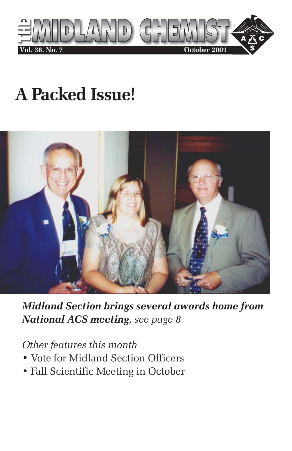

## **A Packed Issue!**



*Midland Section brings several awards home from National ACS meeting, see page 8*

#### *Other features this month*

- Vote for Midland Section Officers
- Fall Scientific Meeting in October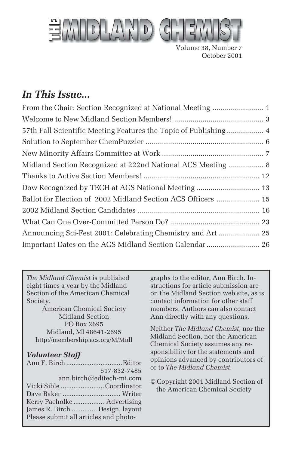

Volume 38, Number 7 October 2001

## *In This Issue...*

| 57th Fall Scientific Meeting Features the Topic of Publishing 4 |
|-----------------------------------------------------------------|
|                                                                 |
|                                                                 |
| Midland Section Recognized at 222nd National ACS Meeting  8     |
|                                                                 |
|                                                                 |
| Ballot for Election of 2002 Midland Section ACS Officers  15    |
|                                                                 |
|                                                                 |
| Announcing Sci-Fest 2001: Celebrating Chemistry and Art  25     |
| Important Dates on the ACS Midland Section Calendar  26         |

*The Midland Chemist* is published eight times a year by the Midland Section of the American Chemical Society.

American Chemical Society Midland Section PO Box 2695 Midland, MI 48641-2695 http://membership.acs.org/M/Midl

#### *Volunteer Staff*

|                                       | 517-832-7485             |
|---------------------------------------|--------------------------|
|                                       | ann.birch@editech-mi.com |
| Vicki Sible Coordinator               |                          |
|                                       |                          |
| Kerry Pacholke  Advertising           |                          |
| James R. Birch  Design, layout        |                          |
| Please submit all articles and photo- |                          |
|                                       |                          |

graphs to the editor, Ann Birch. Instructions for article submission are on the Midland Section web site, as is contact information for other staff members. Authors can also contact Ann directly with any questions.

Neither *The Midland Chemist*, nor the Midland Section, nor the American Chemical Society assumes any responsibility for the statements and opinions advanced by contributors of or to *The Midland Chemist*.

© Copyright 2001 Midland Section of the American Chemical Society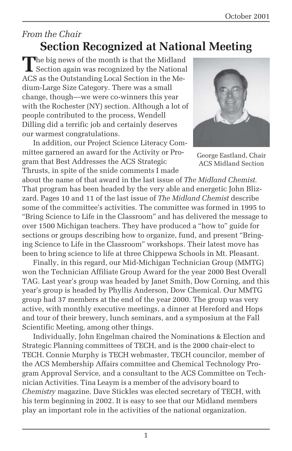### *From the Chair* **Section Recognized at National Meeting**

The big news of the month is that the Midland<br>Section again was recognized by the National ACS as the Outstanding Local Section in the Medium-Large Size Category. There was a small change, though—we were co-winners this year with the Rochester (NY) section. Although a lot of people contributed to the process, Wendell Dilling did a terrific job and certainly deserves our warmest congratulations.

In addition, our Project Science Literacy Committee garnered an award for the Activity or Program that Best Addresses the ACS Strategic Thrusts, in spite of the snide comments I made



George Eastland, Chair ACS Midland Section

about the name of that award in the last issue of *The Midland Chemist.* That program has been headed by the very able and energetic John Blizzard. Pages 10 and 11 of the last issue of *The Midland Chemist* describe some of the committee's activities. The committee was formed in 1995 to "Bring Science to Life in the Classroom" and has delivered the message to over 1500 Michigan teachers. They have produced a "how to" guide for sections or groups describing how to organize, fund, and present "Bringing Science to Life in the Classroom" workshops. Their latest move has been to bring science to life at three Chippewa Schools in Mt. Pleasant.

Finally, in this regard, our Mid-Michigan Technician Group (MMTG) won the Technician Affiliate Group Award for the year 2000 Best Overall TAG. Last year's group was headed by Janet Smith, Dow Corning, and this year's group is headed by Phyllis Anderson, Dow Chemical. Our MMTG group had 37 members at the end of the year 2000. The group was very active, with monthly executive meetings, a dinner at Hereford and Hops and tour of their brewery, lunch seminars, and a symposium at the Fall Scientific Meeting, among other things.

Individually, John Engelman chaired the Nominations & Election and Strategic Planning committees of TECH, and is the 2000 chair-elect to TECH. Connie Murphy is TECH webmaster, TECH councilor, member of the ACS Membership Affairs committee and Chemical Technology Program Approval Service, and a consultant to the ACS Committee on Technician Activities. Tina Leaym is a member of the advisory board to *Chemistry* magazine. Dave Stickles was elected secretary of TECH, with his term beginning in 2002. It is easy to see that our Midland members play an important role in the activities of the national organization.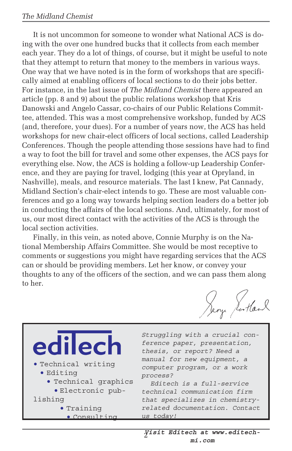#### *The Midland Chemist*

It is not uncommon for someone to wonder what National ACS is doing with the over one hundred bucks that it collects from each member each year. They do a lot of things, of course, but it might be useful to note that they attempt to return that money to the members in various ways. One way that we have noted is in the form of workshops that are specifically aimed at enabling officers of local sections to do their jobs better. For instance, in the last issue of *The Midland Chemist* there appeared an article (pp. 8 and 9) about the public relations workshop that Kris Danowski and Angelo Cassar, co-chairs of our Public Relations Committee, attended. This was a most comprehensive workshop, funded by ACS (and, therefore, your dues). For a number of years now, the ACS has held workshops for new chair-elect officers of local sections, called Leadership Conferences. Though the people attending those sessions have had to find a way to foot the bill for travel and some other expenses, the ACS pays for everything else. Now, the ACS is holding a follow-up Leadership Conference, and they are paying for travel, lodging (this year at Opryland, in Nashville), meals, and resource materials. The last I knew, Pat Cannady, Midland Section's chair-elect intends to go. These are most valuable conferences and go a long way towards helping section leaders do a better job in conducting the affairs of the local sections. And, ultimately, for most of us, our most direct contact with the activities of the ACS is through the local section activities.

Finally, in this vein, as noted above, Connie Murphy is on the National Membership Affairs Committee. She would be most receptive to comments or suggestions you might have regarding services that the ACS can or should be providing members. Let her know, or convey your thoughts to any of the officers of the section, and we can pass them along to her.

Jeoy Jortland

| edilech<br>. Technical writing<br>· Editing<br>· Technical graphics<br>· Electronic pub-<br>lishing | Struggling with a crucial con-<br>ference paper, presentation,<br>thesis, or report? Need a<br>manual for new equipment, a<br>computer program, or a work<br>process?<br>Editech is a full-service<br>technical communication firm<br>that specializes in chemistry- |
|-----------------------------------------------------------------------------------------------------|----------------------------------------------------------------------------------------------------------------------------------------------------------------------------------------------------------------------------------------------------------------------|
| · Training                                                                                          | related documentation. Contact                                                                                                                                                                                                                                       |
| · Consulting                                                                                        | us today!                                                                                                                                                                                                                                                            |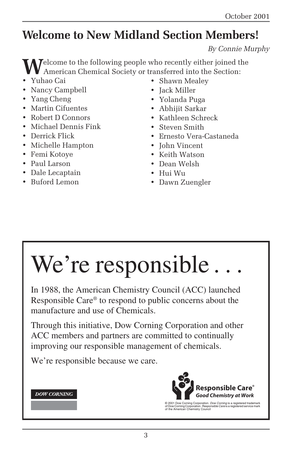## **Welcome to New Midland Section Members!**

*By Connie Murphy*

**T**elcome to the following people who recently either joined the American Chemical Society or transferred into the Section:

- Yuhao Cai
- Nancy Campbell
- Yang Cheng
- Martin Cifuentes
- Robert D Connors
- Michael Dennis Fink
- Derrick Flick
- Michelle Hampton
- Femi Kotoye
- Paul Larson
- Dale Lecaptain
- Buford Lemon
- Shawn Mealey
- Jack Miller
- Yolanda Puga
- Abhijit Sarkar
- Kathleen Schreck
- Steven Smith
- Ernesto Vera-Castaneda
- John Vincent
- Keith Watson
- Dean Welsh
- Hui Wu
- Dawn Zuengler

# We're responsible...

In 1988, the American Chemistry Council (ACC) launched Responsible Care® to respond to public concerns about the manufacture and use of Chemicals.

Through this initiative, Dow Corning Corporation and other ACC members and partners are committed to continually improving our responsible management of chemicals.

We're responsible because we care.

#### **DOW CORNING**



© 2001 Dow Corning Corporation. *Dow Corning* is a registered trademark<br>of Dow Corning Corporation. *Responsible Care* is a registered service mark<br>of the American Chemistry Council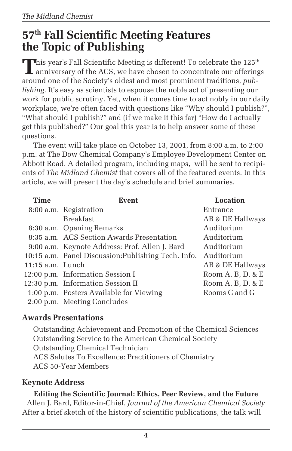## **57th Fall Scientific Meeting Features the Topic of Publishing**

This year's Fall Scientific Meeting is different! To celebrate the 125<sup>th</sup> **L** anniversary of the ACS, we have chosen to concentrate our offerings around one of the Society's oldest and most prominent traditions, *publishing*. It's easy as scientists to espouse the noble act of presenting our work for public scrutiny. Yet, when it comes time to act nobly in our daily workplace, we're often faced with questions like "Why should I publish?", "What should I publish?" and (if we make it this far) "How do I actually get this published?" Our goal this year is to help answer some of these questions.

The event will take place on October 13, 2001, from 8:00 a.m. to 2:00 p.m. at The Dow Chemical Company's Employee Development Center on Abbott Road. A detailed program, including maps, will be sent to recipients of *The Midland Chemist* that covers all of the featured events. In this article, we will present the day's schedule and brief summaries.

| Time               | Event                                               | Location                        |
|--------------------|-----------------------------------------------------|---------------------------------|
|                    | 8:00 a.m. Registration                              | Entrance                        |
|                    | <b>Breakfast</b>                                    | AB & DE Hallways                |
|                    | 8:30 a.m. Opening Remarks                           | Auditorium                      |
|                    | 8:35 a.m. ACS Section Awards Presentation           | Auditorium                      |
|                    | 9:00 a.m. Keynote Address: Prof. Allen J. Bard      | Auditorium                      |
|                    | 10:15 a.m. Panel Discussion: Publishing Tech. Info. | Auditorium                      |
| $11:15$ a.m. Lunch |                                                     | AB & DE Hallways                |
|                    | 12:00 p.m. Information Session I                    | Room A, B, D, & E               |
|                    | 12:30 p.m. Information Session II                   | Room $A$ , $B$ , $D$ , $\&$ $E$ |
|                    | 1:00 p.m. Posters Available for Viewing             | Rooms C and G                   |
|                    | 2:00 p.m. Meeting Concludes                         |                                 |

#### **Awards Presentations**

Outstanding Achievement and Promotion of the Chemical Sciences Outstanding Service to the American Chemical Society Outstanding Chemical Technician ACS Salutes To Excellence: Practitioners of Chemistry ACS 50-Year Members

#### **Keynote Address**

**Editing the Scientific Journal: Ethics, Peer Review, and the Future** Allen J. Bard, Editor-in-Chief, *Journal of the American Chemical Society* After a brief sketch of the history of scientific publications, the talk will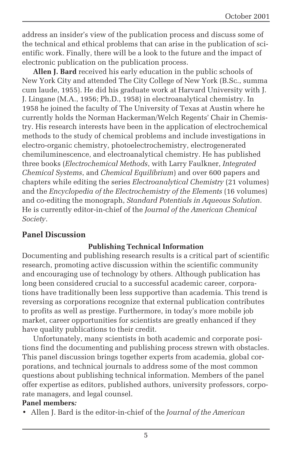address an insider's view of the publication process and discuss some of the technical and ethical problems that can arise in the publication of scientific work. Finally, there will be a look to the future and the impact of electronic publication on the publication process.

**Allen J. Bard** received his early education in the public schools of New York City and attended The City College of New York (B.Sc., summa cum laude, 1955). He did his graduate work at Harvard University with J. J. Lingane (M.A., 1956; Ph.D., 1958) in electroanalytical chemistry. In 1958 he joined the faculty of The University of Texas at Austin where he currently holds the Norman Hackerman/Welch Regents' Chair in Chemistry. His research interests have been in the application of electrochemical methods to the study of chemical problems and include investigations in electro-organic chemistry, photoelectrochemistry, electrogenerated chemiluminescence, and electroanalytical chemistry. He has published three books (*Electrochemical Methods*, with Larry Faulkner, *Integrated Chemical Systems*, and *Chemical Equilibrium*) and over 600 papers and chapters while editing the series *Electroanalytical Chemistry* (21 volumes) and the *Encyclopedia of the Electrochemistry of the Elements* (16 volumes) and co-editing the monograph, *Standard Potentials in Aqueous Solution*. He is currently editor-in-chief of the *Journal of the American Chemical Society*.

#### **Panel Discussion**

#### **Publishing Technical Information**

Documenting and publishing research results is a critical part of scientific research, promoting active discussion within the scientific community and encouraging use of technology by others. Although publication has long been considered crucial to a successful academic career, corporations have traditionally been less supportive than academia. This trend is reversing as corporations recognize that external publication contributes to profits as well as prestige. Furthermore, in today's more mobile job market, career opportunities for scientists are greatly enhanced if they have quality publications to their credit.

Unfortunately, many scientists in both academic and corporate positions find the documenting and publishing process strewn with obstacles. This panel discussion brings together experts from academia, global corporations, and technical journals to address some of the most common questions about publishing technical information. Members of the panel offer expertise as editors, published authors, university professors, corporate managers, and legal counsel.

#### **Panel members***:*

• Allen J. Bard is the editor-in-chief of the *Journal of the American*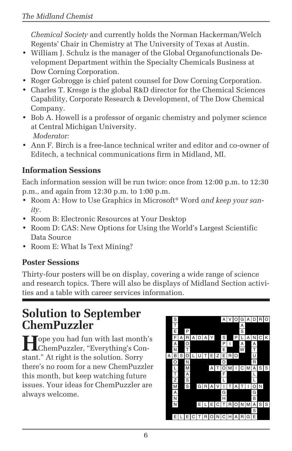*Chemical Society* and currently holds the Norman Hackerman/Welch Regents' Chair in Chemistry at The University of Texas at Austin.

- William J. Schulz is the manager of the Global Organofunctionals Development Department within the Specialty Chemicals Business at Dow Corning Corporation.
- Roger Gobrogge is chief patent counsel for Dow Corning Corporation.
- Charles T. Kresge is the global R&D director for the Chemical Sciences Capability, Corporate Research & Development, of The Dow Chemical Company.
- Bob A. Howell is a professor of organic chemistry and polymer science at Central Michigan University. *Moderator:*
- Ann F. Birch is a free-lance technical writer and editor and co-owner of Editech, a technical communications firm in Midland, MI.

#### **Information Sessions**

Each information session will be run twice: once from 12:00 p.m. to 12:30 p.m., and again from 12:30 p.m. to 1:00 p.m.

- Room A: How to Use Graphics in Microsoft® Word *and keep your sanity*.
- Room B: Electronic Resources at Your Desktop
- Room D: CAS: New Options for Using the World's Largest Scientific Data Source
- Room E: What Is Text Mining?

#### **Poster Sessions**

Thirty-four posters will be on display, covering a wide range of science and research topics. There will also be displays of Midland Section activities and a table with career services information.

## **Solution to September ChemPuzzler**

**Hope you had fun with last month's** ChemPuzzler, "Everything's Constant." At right is the solution. Sorry there's no room for a new ChemPuzzler this month, but keep watching future issues. Your ideas for ChemPuzzler are always welcome.

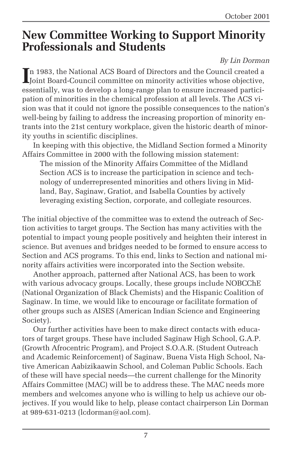## **New Committee Working to Support Minority Professionals and Students**

#### *By Lin Dorman*

In 1983, the National ACS Board of Directors and the Council created a Joint Board-Council committee on minority activities whose objective, n 1983, the National ACS Board of Directors and the Council created a essentially, was to develop a long-range plan to ensure increased participation of minorities in the chemical profession at all levels. The ACS vision was that it could not ignore the possible consequences to the nation's well-being by failing to address the increasing proportion of minority entrants into the 21st century workplace, given the historic dearth of minority youths in scientific disciplines.

In keeping with this objective, the Midland Section formed a Minority Affairs Committee in 2000 with the following mission statement:

The mission of the Minority Affairs Committee of the Midland Section ACS is to increase the participation in science and technology of underrepresented minorities and others living in Midland, Bay, Saginaw, Gratiot, and Isabella Counties by actively leveraging existing Section, corporate, and collegiate resources.

The initial objective of the committee was to extend the outreach of Section activities to target groups. The Section has many activities with the potential to impact young people positively and heighten their interest in science. But avenues and bridges needed to be formed to ensure access to Section and ACS programs. To this end, links to Section and national minority affairs activities were incorporated into the Section website.

Another approach, patterned after National ACS, has been to work with various advocacy groups. Locally, these groups include NOBCChE (National Organization of Black Chemists) and the Hispanic Coalition of Saginaw. In time, we would like to encourage or facilitate formation of other groups such as AISES (American Indian Science and Engineering Society).

Our further activities have been to make direct contacts with educators of target groups. These have included Saginaw High School, G.A.P. (Growth Afrocentric Program), and Project S.O.A.R. (Student Outreach and Academic Reinforcement) of Saginaw, Buena Vista High School, Native American Aabizikaawin School, and Coleman Public Schools. Each of these will have special needs—the current challenge for the Minority Affairs Committee (MAC) will be to address these. The MAC needs more members and welcomes anyone who is willing to help us achieve our objectives. If you would like to help, please contact chairperson Lin Dorman at 989-631-0213 (lcdorman@aol.com).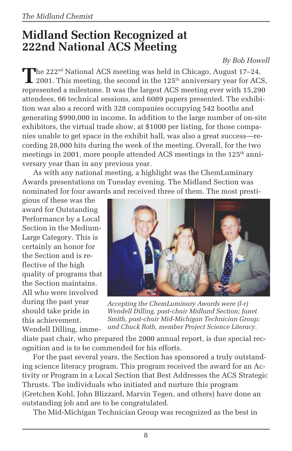## **Midland Section Recognized at 222nd National ACS Meeting**

#### *By Bob Howell*

The 222<sup>nd</sup> National ACS meeting was held in Chicago, August 17–24, 2001. This meeting, the second in the  $125<sup>th</sup>$  anniversary year for ACS, represented a milestone. It was the largest ACS meeting ever with 15,290 attendees, 66 technical sessions, and 6089 papers presented. The exhibition was also a record with 328 companies occupying 542 booths and generating \$990,000 in income. In addition to the large number of on-site exhibitors, the virtual trade show, at \$1000 per listing, for those companies unable to get space in the exhibit hall, was also a great success—recording 28,000 hits during the week of the meeting. Overall, for the two meetings in 2001, more people attended ACS meetings in the  $125<sup>th</sup>$  anniversary year than in any previous year.

As with any national meeting, a highlight was the ChemLuminary Awards presentations on Tuesday evening. The Midland Section was nominated for four awards and received three of them. The most presti-

gious of these was the award for Outstanding Performance by a Local Section in the Medium-Large Category. This is certainly an honor for the Section and is reflective of the high quality of programs that the Section maintains. All who were involved during the past year should take pride in this achievement. Wendell Dilling, imme-



*Accepting the ChemLuminary Awards were (l-r) Wendell Dilling, past-chair Midland Section; Janet Smith, past-chair Mid-Michigan Technician Group; and Chuck Roth, member Project Science Literacy.*

diate past chair, who prepared the 2000 annual report, is due special recognition and is to be commended for his efforts.

For the past several years, the Section has sponsored a truly outstanding science literacy program. This program received the award for an Activity or Program in a Local Section that Best Addresses the ACS Strategic Thrusts. The individuals who initiated and nurture this program (Gretchen Kohl, John Blizzard, Marvin Tegen, and others) have done an outstanding job and are to be congratulated.

The Mid-Michigan Technician Group was recognized as the best in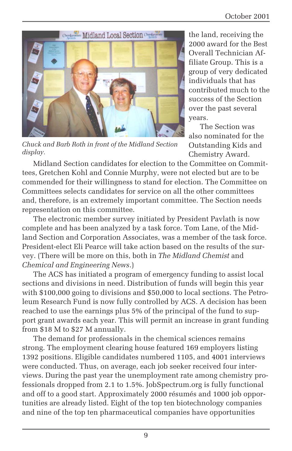

*Chuck and Barb Roth in front of the Midland Section display.*

the land, receiving the 2000 award for the Best Overall Technician Affiliate Group. This is a group of very dedicated individuals that has contributed much to the success of the Section over the past several years.

The Section was also nominated for the Outstanding Kids and Chemistry Award.

Midland Section candidates for election to the Committee on Committees, Gretchen Kohl and Connie Murphy, were not elected but are to be commended for their willingness to stand for election. The Committee on Committees selects candidates for service on all the other committees and, therefore, is an extremely important committee. The Section needs representation on this committee.

The electronic member survey initiated by President Pavlath is now complete and has been analyzed by a task force. Tom Lane, of the Midland Section and Corporation Associates, was a member of the task force. President-elect Eli Pearce will take action based on the results of the survey. (There will be more on this, both in *The Midland Chemist* and *Chemical and Engineering News*.)

The ACS has initiated a program of emergency funding to assist local sections and divisions in need. Distribution of funds will begin this year with \$100,000 going to divisions and \$50,000 to local sections. The Petroleum Research Fund is now fully controlled by ACS. A decision has been reached to use the earnings plus 5% of the principal of the fund to support grant awards each year. This will permit an increase in grant funding from \$18 M to \$27 M annually.

The demand for professionals in the chemical sciences remains strong. The employment clearing house featured 169 employers listing 1392 positions. Eligible candidates numbered 1105, and 4001 interviews were conducted. Thus, on average, each job seeker received four interviews. During the past year the unemployment rate among chemistry professionals dropped from 2.1 to 1.5%. JobSpectrum.org is fully functional and off to a good start. Approximately 2000 résumés and 1000 job opportunities are already listed. Eight of the top ten biotechnology companies and nine of the top ten pharmaceutical companies have opportunities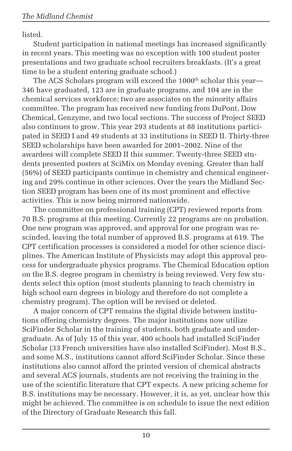listed.

Student participation in national meetings has increased significantly in recent years. This meeting was no exception with 100 student poster presentations and two graduate school recruiters breakfasts. (It's a great time to be a student entering graduate school.)

The ACS Scholars program will exceed the 1000<sup>th</sup> scholar this year— 346 have graduated, 123 are in graduate programs, and 104 are in the chemical services workforce; two are associates on the minority affairs committee. The program has received new funding from DuPont, Dow Chemical, Genzyme, and two local sections. The success of Project SEED also continues to grow. This year 293 students at 88 institutions participated in SEED I and 49 students at 33 institutions in SEED II. Thirty-three SEED scholarships have been awarded for 2001–2002. Nine of the awardees will complete SEED II this summer. Twenty-three SEED students presented posters at SciMix on Monday evening. Greater than half (56%) of SEED participants continue in chemistry and chemical engineering and 29% continue in other sciences. Over the years the Midland Section SEED program has been one of its most prominent and effective activities. This is now being mirrored nationwide.

The committee on professional training (CPT) reviewed reports from 70 B.S. programs at this meeting. Currently 22 programs are on probation. One new program was approved, and approval for one program was rescinded, leaving the total number of approved B.S. programs at 619. The CPT certification processes is considered a model for other science disciplines. The American Institute of Physicists may adopt this approval process for undergraduate physics programs. The Chemical Education option on the B.S. degree program in chemistry is being reviewed. Very few students select this option (most students planning to teach chemistry in high school earn degrees in biology and therefore do not complete a chemistry program). The option will be revised or deleted.

A major concern of CPT remains the digital divide between institutions offering chemistry degrees. The major institutions now utilize SciFinder Scholar in the training of students, both graduate and undergraduate. As of July 15 of this year, 400 schools had installed SciFinder Scholar (33 French universities have also installed SciFinder). Most B.S., and some M.S., institutions cannot afford SciFinder Scholar. Since these institutions also cannot afford the printed version of chemical abstracts and several ACS journals, students are not receiving the training in the use of the scientific literature that CPT expects. A new pricing scheme for B.S. institutions may be necessary. However, it is, as yet, unclear how this might be achieved. The committee is on schedule to issue the next edition of the Directory of Graduate Research this fall.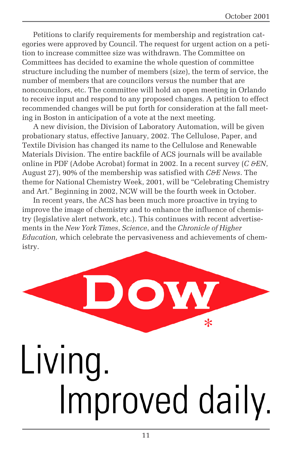Petitions to clarify requirements for membership and registration categories were approved by Council. The request for urgent action on a petition to increase committee size was withdrawn. The Committee on Committees has decided to examine the whole question of committee structure including the number of members (size), the term of service, the number of members that are councilors versus the number that are noncouncilors, etc. The committee will hold an open meeting in Orlando to receive input and respond to any proposed changes. A petition to effect recommended changes will be put forth for consideration at the fall meeting in Boston in anticipation of a vote at the next meeting.

A new division, the Division of Laboratory Automation, will be given probationary status, effective January, 2002. The Cellulose, Paper, and Textile Division has changed its name to the Cellulose and Renewable Materials Division. The entire backfile of ACS journals will be available online in PDF (Adobe Acrobat) format in 2002. In a recent survey (*C &EN*, August 27), 90% of the membership was satisfied with *C&E News*. The theme for National Chemistry Week, 2001, will be "Celebrating Chemistry and Art." Beginning in 2002, NCW will be the fourth week in October.

In recent years, the ACS has been much more proactive in trying to improve the image of chemistry and to enhance the influence of chemistry (legislative alert network, etc.). This continues with recent advertisements in the *New York Times*, *Science*, and the *Chronicle of Higher Education,* which celebrate the pervasiveness and achievements of chemistry.

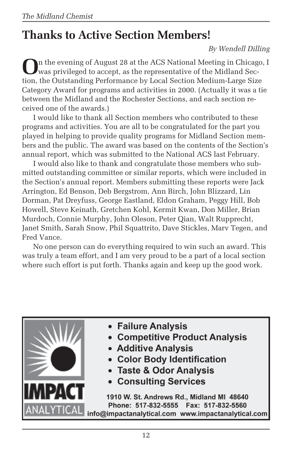## **Thanks to Active Section Members!**

*By Wendell Dilling*

**O**n the evening of August 28 at the ACS National Meeting in Chicago, I was privileged to accept, as the representative of the Midland Section, the Outstanding Performance by Local Section Medium-Large Size Category Award for programs and activities in 2000. (Actually it was a tie between the Midland and the Rochester Sections, and each section received one of the awards.)

I would like to thank all Section members who contributed to these programs and activities. You are all to be congratulated for the part you played in helping to provide quality programs for Midland Section members and the public. The award was based on the contents of the Section's annual report, which was submitted to the National ACS last February.

I would also like to thank and congratulate those members who submitted outstanding committee or similar reports, which were included in the Section's annual report. Members submitting these reports were Jack Arrington, Ed Benson, Deb Bergstrom, Ann Birch, John Blizzard, Lin Dorman, Pat Dreyfuss, George Eastland, Eldon Graham, Peggy Hill, Bob Howell, Steve Keinath, Gretchen Kohl, Kermit Kwan, Don Miller, Brian Murdoch, Connie Murphy, John Oleson, Peter Qian, Walt Rupprecht, Janet Smith, Sarah Snow, Phil Squattrito, Dave Stickles, Marv Tegen, and Fred Vance.

No one person can do everything required to win such an award. This was truly a team effort, and I am very proud to be a part of a local section where such effort is put forth. Thanks again and keep up the good work.

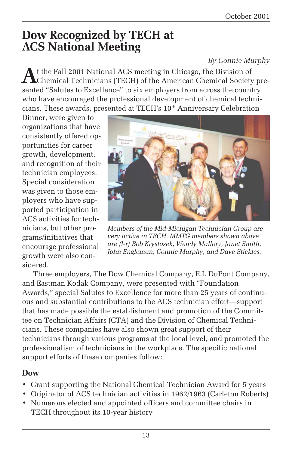## **Dow Recognized by TECH at ACS National Meeting**

#### *By Connie Murphy*

**A**t the Fall 2001 National ACS meeting in Chicago, the Division of Chemical Technicians (TECH) of the American Chemical Society presented "Salutes to Excellence" to six employers from across the country who have encouraged the professional development of chemical technicians. These awards, presented at TECH's 10<sup>th</sup> Anniversary Celebration

Dinner, were given to organizations that have consistently offered opportunities for career growth, development, and recognition of their technician employees. Special consideration was given to those employers who have supported participation in ACS activities for technicians, but other programs/initiatives that encourage professional growth were also considered.



*Members of the Mid-Michigan Technician Group are very active in TECH. MMTG members shown above are (l-r) Bob Krystosek, Wendy Mallory, Janet Smith, John Engleman, Connie Murphy, and Dave Stickles.*

Three employers, The Dow Chemical Company, E.I. DuPont Company, and Eastman Kodak Company, were presented with "Foundation Awards," special Salutes to Excellence for more than 25 years of continuous and substantial contributions to the ACS technician effort—support that has made possible the establishment and promotion of the Committee on Technician Affairs (CTA) and the Division of Chemical Technicians. These companies have also shown great support of their technicians through various programs at the local level, and promoted the professionalism of technicians in the workplace. The specific national support efforts of these companies follow:

#### **Dow**

- Grant supporting the National Chemical Technician Award for 5 years
- Originator of ACS technician activities in 1962/1963 (Carleton Roberts)
- Numerous elected and appointed officers and committee chairs in TECH throughout its 10-year history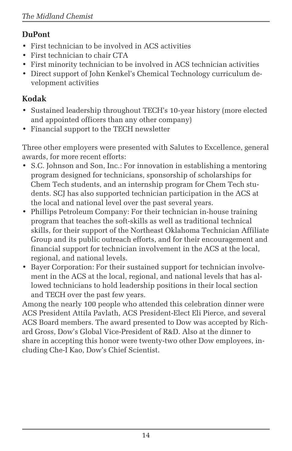#### **DuPont**

- First technician to be involved in ACS activities
- First technician to chair CTA
- First minority technician to be involved in ACS technician activities
- Direct support of John Kenkel's Chemical Technology curriculum development activities

#### **Kodak**

- Sustained leadership throughout TECH's 10-year history (more elected and appointed officers than any other company)
- Financial support to the TECH newsletter

Three other employers were presented with Salutes to Excellence, general awards, for more recent efforts:

- S.C. Johnson and Son, Inc.: For innovation in establishing a mentoring program designed for technicians, sponsorship of scholarships for Chem Tech students, and an internship program for Chem Tech students. SCJ has also supported technician participation in the ACS at the local and national level over the past several years.
- Phillips Petroleum Company: For their technician in-house training program that teaches the soft-skills as well as traditional technical skills, for their support of the Northeast Oklahoma Technician Affiliate Group and its public outreach efforts, and for their encouragement and financial support for technician involvement in the ACS at the local, regional, and national levels.
- Bayer Corporation: For their sustained support for technician involvement in the ACS at the local, regional, and national levels that has allowed technicians to hold leadership positions in their local section and TECH over the past few years.

Among the nearly 100 people who attended this celebration dinner were ACS President Attila Pavlath, ACS President-Elect Eli Pierce, and several ACS Board members. The award presented to Dow was accepted by Richard Gross, Dow's Global Vice-President of R&D. Also at the dinner to share in accepting this honor were twenty-two other Dow employees, including Che-I Kao, Dow's Chief Scientist.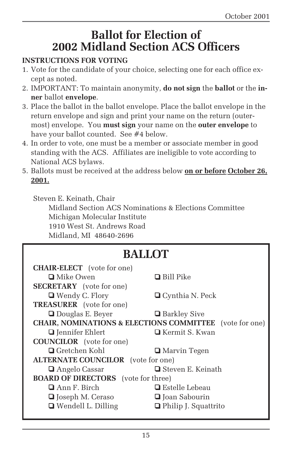## **Ballot for Election of 2002 Midland Section ACS Officers**

#### **INSTRUCTIONS FOR VOTING**

- 1. Vote for the candidate of your choice, selecting one for each office except as noted.
- 2. IMPORTANT: To maintain anonymity, **do not sign** the **ballot** or the **inner** ballot **envelope**.
- 3. Place the ballot in the ballot envelope. Place the ballot envelope in the return envelope and sign and print your name on the return (outermost) envelope. You **must sign** your name on the **outer envelope** to have your ballot counted. See #4 below.
- 4. In order to vote, one must be a member or associate member in good standing with the ACS. Affiliates are ineligible to vote according to National ACS bylaws.
- 5. Ballots must be received at the address below **on or before October 26, 2001.**

Steven E. Keinath, Chair Midland Section ACS Nominations & Elections Committee Michigan Molecular Institute 1910 West St. Andrews Road Midland, MI 48640-2696

## **BALLOT**

| <b>CHAIR-ELECT</b> (vote for one)                                  |                             |
|--------------------------------------------------------------------|-----------------------------|
| $\Box$ Mike Owen                                                   | $\Box$ Bill Pike            |
| <b>SECRETARY</b> (vote for one)                                    |                             |
| $\Box$ Wendy C. Flory                                              | $\Box$ Cynthia N. Peck      |
| <b>TREASURER</b> (vote for one)                                    |                             |
| $\Box$ Douglas E. Beyer                                            | <b>□</b> Barkley Sive       |
| <b>CHAIR, NOMINATIONS &amp; ELECTIONS COMMITTEE</b> (vote for one) |                             |
| $\Box$ Jennifer Ehlert                                             | $\Box$ Kermit S. Kwan       |
| <b>COUNCILOR</b> (vote for one)                                    |                             |
| $\Box$ Gretchen Kohl                                               | <b>□</b> Marvin Tegen       |
| <b>ALTERNATE COUNCILOR</b> (vote for one)                          |                             |
| <b>□</b> Angelo Cassar                                             | $\Box$ Steven E. Keinath    |
| <b>BOARD OF DIRECTORS</b> (vote for three)                         |                             |
| $\Box$ Ann F. Birch                                                | $\Box$ Estelle Lebeau       |
| $\Box$ Joseph M. Ceraso                                            | □ Joan Sabourin             |
| $\Box$ Wendell L. Dilling                                          | $\Box$ Philip J. Squattrito |
|                                                                    |                             |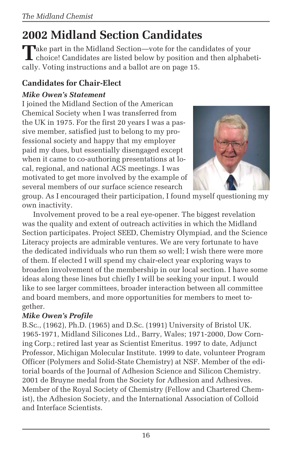## **2002 Midland Section Candidates**

Take part in the Midland Section—vote for the candidates of your<br>choice! Candidates are listed below by position and then alphabetically. Voting instructions and a ballot are on page 15.

#### **Candidates for Chair-Elect**

#### *Mike Owen's Statement*

I joined the Midland Section of the American Chemical Society when I was transferred from the UK in 1975. For the first 20 years I was a passive member, satisfied just to belong to my professional society and happy that my employer paid my dues, but essentially disengaged except when it came to co-authoring presentations at local, regional, and national ACS meetings. I was motivated to get more involved by the example of several members of our surface science research



group. As I encouraged their participation, I found myself questioning my own inactivity.

Involvement proved to be a real eye-opener. The biggest revelation was the quality and extent of outreach activities in which the Midland Section participates. Project SEED, Chemistry Olympiad, and the Science Literacy projects are admirable ventures. We are very fortunate to have the dedicated individuals who run them so well; I wish there were more of them. If elected I will spend my chair-elect year exploring ways to broaden involvement of the membership in our local section. I have some ideas along these lines but chiefly I will be seeking your input. I would like to see larger committees, broader interaction between all committee and board members, and more opportunities for members to meet together.

#### *Mike Owen's Profile*

B.Sc., (1962), Ph.D. (1965) and D.Sc. (1991) University of Bristol UK. 1965-1971, Midland Silicones Ltd., Barry, Wales; 1971-2000, Dow Corning Corp.; retired last year as Scientist Emeritus. 1997 to date, Adjunct Professor, Michigan Molecular Institute. 1999 to date, volunteer Program Officer (Polymers and Solid-State Chemistry) at NSF. Member of the editorial boards of the Journal of Adhesion Science and Silicon Chemistry. 2001 de Bruyne medal from the Society for Adhesion and Adhesives. Member of the Royal Society of Chemistry (Fellow and Chartered Chemist), the Adhesion Society, and the International Association of Colloid and Interface Scientists.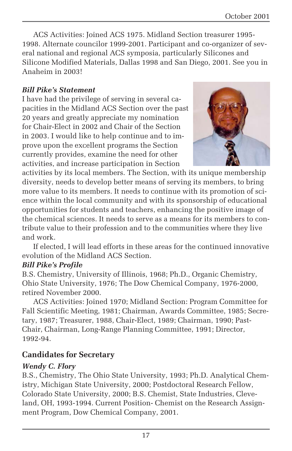ACS Activities: Joined ACS 1975. Midland Section treasurer 1995- 1998. Alternate councilor 1999-2001. Participant and co-organizer of several national and regional ACS symposia, particularly Silicones and Silicone Modified Materials, Dallas 1998 and San Diego, 2001. See you in Anaheim in 2003!

#### *Bill Pike's Statement*

I have had the privilege of serving in several capacities in the Midland ACS Section over the past 20 years and greatly appreciate my nomination for Chair-Elect in 2002 and Chair of the Section in 2003. I would like to help continue and to improve upon the excellent programs the Section currently provides, examine the need for other activities, and increase participation in Section



activities by its local members. The Section, with its unique membership diversity, needs to develop better means of serving its members, to bring more value to its members. It needs to continue with its promotion of science within the local community and with its sponsorship of educational opportunities for students and teachers, enhancing the positive image of the chemical sciences. It needs to serve as a means for its members to contribute value to their profession and to the communities where they live and work.

If elected, I will lead efforts in these areas for the continued innovative evolution of the Midland ACS Section.

#### *Bill Pike's Profile*

B.S. Chemistry, University of Illinois, 1968; Ph.D., Organic Chemistry, Ohio State University, 1976; The Dow Chemical Company, 1976-2000, retired November 2000.

ACS Activities: Joined 1970; Midland Section: Program Committee for Fall Scientific Meeting, 1981; Chairman, Awards Committee, 1985; Secretary, 1987; Treasurer, 1988, Chair-Elect, 1989; Chairman, 1990; Past-Chair, Chairman, Long-Range Planning Committee, 1991; Director, 1992-94.

#### **Candidates for Secretary**

#### *Wendy C. Flory*

B.S., Chemistry, The Ohio State University, 1993; Ph.D. Analytical Chemistry, Michigan State University, 2000; Postdoctoral Research Fellow, Colorado State University, 2000; B.S. Chemist, State Industries, Cleveland, OH, 1993-1994. Current Position- Chemist on the Research Assignment Program, Dow Chemical Company, 2001.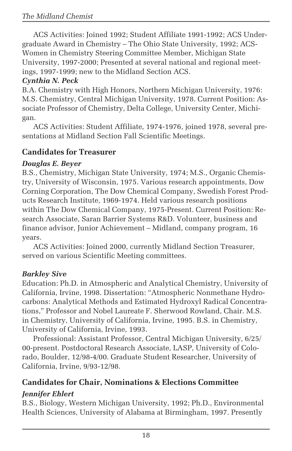ACS Activities: Joined 1992; Student Affiliate 1991-1992; ACS Undergraduate Award in Chemistry – The Ohio State University, 1992; ACS-Women in Chemistry Steering Committee Member, Michigan State University, 1997-2000; Presented at several national and regional meetings, 1997-1999; new to the Midland Section ACS.

#### *Cynthia N. Peck*

B.A. Chemistry with High Honors, Northern Michigan University, 1976: M.S. Chemistry, Central Michigan University, 1978. Current Position: Associate Professor of Chemistry, Delta College, University Center, Michigan.

ACS Activities: Student Affiliate, 1974-1976, joined 1978, several presentations at Midland Section Fall Scientific Meetings.

#### **Candidates for Treasurer**

#### *Douglas E. Beyer*

B.S., Chemistry, Michigan State University, 1974; M.S., Organic Chemistry, University of Wisconsin, 1975. Various research appointments, Dow Corning Corporation, The Dow Chemical Company, Swedish Forest Products Research Institute, 1969-1974. Held various research positions within The Dow Chemical Company, 1975-Present. Current Position: Research Associate, Saran Barrier Systems R&D. Volunteer, business and finance advisor, Junior Achievement – Midland, company program, 16 years.

ACS Activities: Joined 2000, currently Midland Section Treasurer, served on various Scientific Meeting committees.

#### *Barkley Sive*

Education: Ph.D. in Atmospheric and Analytical Chemistry, University of California, Irvine, 1998. Dissertation: "Atmospheric Nonmethane Hydrocarbons: Analytical Methods and Estimated Hydroxyl Radical Concentrations," Professor and Nobel Laureate F. Sherwood Rowland, Chair. M.S. in Chemistry, University of California, Irvine, 1995. B.S. in Chemistry, University of California, Irvine, 1993.

Professional: Assistant Professor, Central Michigan University, 6/25/ 00-present. Postdoctoral Research Associate, LASP, University of Colorado, Boulder, 12/98-4/00. Graduate Student Researcher, University of California, Irvine, 9/93-12/98.

#### **Candidates for Chair, Nominations & Elections Committee**

#### *Jennifer Ehlert*

B.S., Biology, Western Michigan University, 1992; Ph.D., Environmental Health Sciences, University of Alabama at Birmingham, 1997. Presently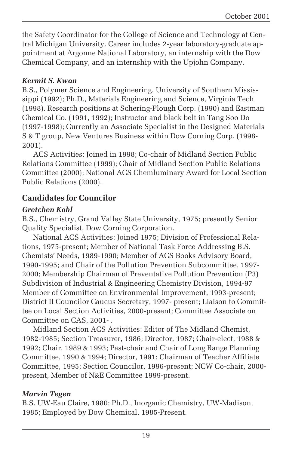the Safety Coordinator for the College of Science and Technology at Central Michigan University. Career includes 2-year laboratory-graduate appointment at Argonne National Laboratory, an internship with the Dow Chemical Company, and an internship with the Upjohn Company.

#### *Kermit S. Kwan*

B.S., Polymer Science and Engineering, University of Southern Mississippi (1992); Ph.D., Materials Engineering and Science, Virginia Tech (1998). Research positions at Schering-Plough Corp. (1990) and Eastman Chemical Co. (1991, 1992); Instructor and black belt in Tang Soo Do (1997-1998); Currently an Associate Specialist in the Designed Materials S & T group, New Ventures Business within Dow Corning Corp. (1998- 2001).

ACS Activities: Joined in 1998; Co-chair of Midland Section Public Relations Committee (1999); Chair of Midland Section Public Relations Committee (2000); National ACS Chemluminary Award for Local Section Public Relations (2000).

#### **Candidates for Councilor**

#### *Gretchen Kohl*

B.S., Chemistry, Grand Valley State University, 1975; presently Senior Quality Specialist, Dow Corning Corporation.

National ACS Activities: Joined 1975; Division of Professional Relations, 1975-present; Member of National Task Force Addressing B.S. Chemists' Needs, 1989-1990; Member of ACS Books Advisory Board, 1990-1995; and Chair of the Pollution Prevention Subcommittee, 1997- 2000; Membership Chairman of Preventative Pollution Prevention (P3) Subdivision of Industrial & Engineering Chemistry Division, 1994-97 Member of Committee on Environmental Improvement, 1993-present; District II Councilor Caucus Secretary, 1997- present; Liaison to Committee on Local Section Activities, 2000-present; Committee Associate on Committee on CAS, 2001- .

Midland Section ACS Activities: Editor of The Midland Chemist, 1982-1985; Section Treasurer, 1986; Director, 1987; Chair-elect, 1988 & 1992; Chair, 1989 & 1993; Past-chair and Chair of Long Range Planning Committee, 1990 & 1994; Director, 1991; Chairman of Teacher Affiliate Committee, 1995; Section Councilor, 1996-present; NCW Co-chair, 2000 present, Member of N&E Committee 1999-present.

#### *Marvin Tegen*

B.S. UW-Eau Claire, 1980; Ph.D., Inorganic Chemistry, UW-Madison, 1985; Employed by Dow Chemical, 1985-Present.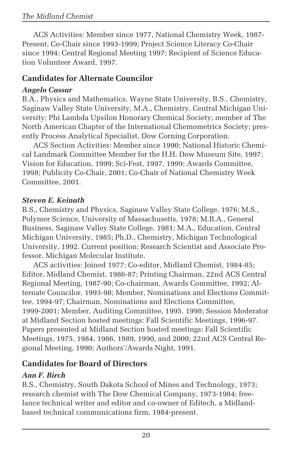ACS Activities: Member since 1977, National Chemistry Week, 1987- Present, Co-Chair since 1993-1999; Project Science Literacy Co-Chair since 1994; Central Regional Meeting 1997; Recipient of Science Education Volunteer Award, 1997.

#### **Candidates for Alternate Councilor**

#### *Angelo Cassar*

B.A., Physics and Mathematics, Wayne State University, B.S., Chemistry, Saginaw Valley State University, M.A., Chemistry, Central Michigan University; Phi Lambda Upsilon Honorary Chemical Society; member of The North American Chapter of the International Chemometrics Society; presently Process Analytical Specialist, Dow Corning Corporation.

ACS Section Activities: Member since 1990; National Historic Chemical Landmark Committee Member for the H.H. Dow Museum Site, 1997; Vision for Education, 1999; Sci-Fest, 1997, 1999; Awards Committee, 1998; Publicity Co-Chair, 2001; Co-Chair of National Chemistry Week Committee, 2001.

#### *Steven E. Keinath*

B.S., Chemistry and Physics, Saginaw Valley State College, 1976; M.S., Polymer Science, University of Massachusetts, 1978; M.B.A., General Business, Saginaw Valley State College, 1981; M.A., Education, Central Michigan University, 1985; Ph.D., Chemistry, Michigan Technological University, 1992. Current position: Research Scientist and Associate Professor, Michigan Molecular Institute.

ACS activities: Joined 1977; Co-editor, Midland Chemist, 1984-85; Editor, Midland Chemist, 1986-87; Printing Chairman, 22nd ACS Central Regional Meeting, 1987-90; Co-chairman, Awards Committee, 1992; Alternate Councilor, 1993-98; Member, Nominations and Elections Committee, 1994-97; Chairman, Nominations and Elections Committee, 1999-2001; Member, Auditing Committee, 1995, 1998; Session Moderator at Midland Section hosted meetings: Fall Scientific Meetings, 1996-97. Papers presented at Midland Section hosted meetings: Fall Scientific Meetings, 1975, 1984, 1986, 1989, 1990, and 2000; 22nd ACS Central Regional Meeting, 1990; Authors'/Awards Night, 1991.

#### **Candidates for Board of Directors**

#### *Ann F. Birch*

B.S., Chemistry, South Dakota School of Mines and Technology, 1973; research chemist with The Dow Chemical Company, 1973-1984; freelance technical writer and editor and co-owner of Editech, a Midlandbased technical communications firm, 1984-present.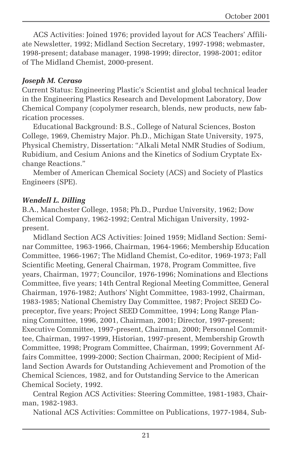ACS Activities: Joined 1976; provided layout for ACS Teachers' Affiliate Newsletter, 1992; Midland Section Secretary, 1997-1998; webmaster, 1998-present; database manager, 1998-1999; director, 1998-2001; editor of The Midland Chemist, 2000-present.

#### *Joseph M. Ceraso*

Current Status: Engineering Plastic's Scientist and global technical leader in the Engineering Plastics Research and Development Laboratory, Dow Chemical Company (copolymer research, blends, new products, new fabrication processes.

Educational Background: B.S., College of Natural Sciences, Boston College, 1969, Chemistry Major. Ph.D., Michigan State University, 1975, Physical Chemistry, Dissertation: "Alkali Metal NMR Studies of Sodium, Rubidium, and Cesium Anions and the Kinetics of Sodium Cryptate Exchange Reactions."

Member of American Chemical Society (ACS) and Society of Plastics Engineers (SPE).

#### *Wendell L. Dilling*

B.A., Manchester College, 1958; Ph.D., Purdue University, 1962; Dow Chemical Company, 1962-1992; Central Michigan University, 1992 present.

Midland Section ACS Activities: Joined 1959; Midland Section: Seminar Committee, 1963-1966, Chairman, 1964-1966; Membership Education Committee, 1966-1967; The Midland Chemist, Co-editor, 1969-1973; Fall Scientific Meeting, General Chairman, 1978, Program Committee, five years, Chairman, 1977; Councilor, 1976-1996; Nominations and Elections Committee, five years; 14th Central Regional Meeting Committee, General Chairman, 1976-1982; Authors' Night Committee, 1983-1992, Chairman, 1983-1985; National Chemistry Day Committee, 1987; Project SEED Copreceptor, five years; Project SEED Committee, 1994; Long Range Planning Committee, 1996, 2001, Chairman, 2001; Director, 1997-present; Executive Committee, 1997-present, Chairman, 2000; Personnel Committee, Chairman, 1997-1999, Historian, 1997-present, Membership Growth Committee, 1998; Program Committee, Chairman, 1999; Government Affairs Committee, 1999-2000; Section Chairman, 2000; Recipient of Midland Section Awards for Outstanding Achievement and Promotion of the Chemical Sciences, 1982, and for Outstanding Service to the American Chemical Society, 1992.

Central Region ACS Activities: Steering Committee, 1981-1983, Chairman, 1982-1983.

National ACS Activities: Committee on Publications, 1977-1984, Sub-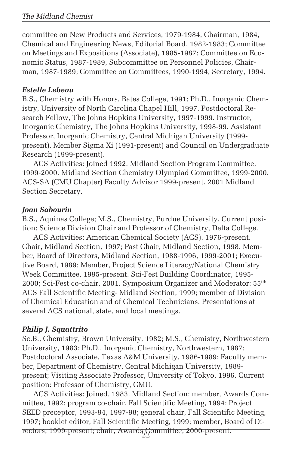committee on New Products and Services, 1979-1984, Chairman, 1984, Chemical and Engineering News, Editorial Board, 1982-1983; Committee on Meetings and Expositions (Associate), 1985-1987; Committee on Economic Status, 1987-1989, Subcommittee on Personnel Policies, Chairman, 1987-1989; Committee on Committees, 1990-1994, Secretary, 1994.

#### *Estelle Lebeau*

B.S., Chemistry with Honors, Bates College, 1991; Ph.D., Inorganic Chemistry, University of North Carolina Chapel Hill, 1997. Postdoctoral Research Fellow, The Johns Hopkins University, 1997-1999. Instructor, Inorganic Chemistry, The Johns Hopkins University, 1998-99. Assistant Professor, Inorganic Chemistry, Central Michigan University (1999 present). Member Sigma Xi (1991-present) and Council on Undergraduate Research (1999-present).

ACS Activities: Joined 1992. Midland Section Program Committee, 1999-2000. Midland Section Chemistry Olympiad Committee, 1999-2000. ACS-SA (CMU Chapter) Faculty Advisor 1999-present. 2001 Midland Section Secretary.

#### *Joan Sabourin*

B.S., Aquinas College; M.S., Chemistry, Purdue University. Current position: Science Division Chair and Professor of Chemistry, Delta College.

ACS Activities: American Chemical Society (ACS). 1976-present. Chair, Midland Section, 1997; Past Chair, Midland Section, 1998. Member, Board of Directors, Midland Section, 1988-1996, 1999-2001; Executive Board, 1989; Member, Project Science Literacy/National Chemistry Week Committee, 1995-present. Sci-Fest Building Coordinator, 1995- 2000; Sci-Fest co-chair, 2001. Symposium Organizer and Moderator: 55<sup>tth</sup> ACS Fall Scientific Meeting- Midland Section, 1999; member of Division of Chemical Education and of Chemical Technicians. Presentations at several ACS national, state, and local meetings.

#### *Philip J. Squattrito*

Sc.B., Chemistry, Brown University, 1982; M.S., Chemistry, Northwestern University, 1983; Ph.D., Inorganic Chemistry, Northwestern, 1987; Postdoctoral Associate, Texas A&M University, 1986-1989; Faculty member, Department of Chemistry, Central Michigan University, 1989 present; Visiting Associate Professor, University of Tokyo, 1996. Current position: Professor of Chemistry, CMU.

22 rectors, 1999-present; chair, Awards Committee, 2000-present.ACS Activities: Joined, 1983. Midland Section: member, Awards Committee, 1992; program co-chair, Fall Scientific Meeting, 1994; Project SEED preceptor, 1993-94, 1997-98; general chair, Fall Scientific Meeting, 1997; booklet editor, Fall Scientific Meeting, 1999; member, Board of Di-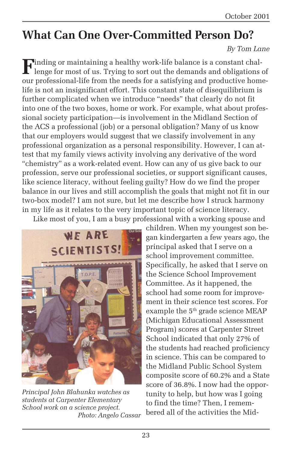## **What Can One Over-Committed Person Do?**

#### *By Tom Lane*

**F**inding or maintaining a healthy work-life balance is a constant challenge for most of us. Trying to sort out the demands and obligations of our professional-life from the needs for a satisfying and productive homelife is not an insignificant effort. This constant state of disequilibrium is further complicated when we introduce "needs" that clearly do not fit into one of the two boxes, home or work. For example, what about professional society participation—is involvement in the Midland Section of the ACS a professional (job) or a personal obligation? Many of us know that our employers would suggest that we classify involvement in any professional organization as a personal responsibility. However, I can attest that my family views activity involving any derivative of the word "chemistry" as a work-related event. How can any of us give back to our profession, serve our professional societies, or support significant causes, like science literacy, without feeling guilty? How do we find the proper balance in our lives and still accomplish the goals that might not fit in our two-box model? I am not sure, but let me describe how I struck harmony in my life as it relates to the very important topic of science literacy.

Like most of you, I am a busy professional with a working spouse and



*Principal John Blahunka watches as students at Carpenter Elementary School work on a science project. Photo: Angelo Cassar*

children. When my youngest son began kindergarten a few years ago, the principal asked that I serve on a school improvement committee. Specifically, he asked that I serve on the Science School Improvement Committee. As it happened, the school had some room for improvement in their science test scores. For example the 5<sup>th</sup> grade science MEAP (Michigan Educational Assessment Program) scores at Carpenter Street School indicated that only 27% of the students had reached proficiency in science. This can be compared to the Midland Public School System composite score of 60.2% and a State score of 36.8%. I now had the opportunity to help, but how was I going to find the time? Then, I remembered all of the activities the Mid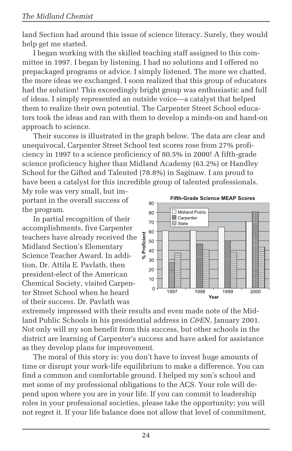land Section had around this issue of science literacy. Surely, they would help get me started.

I began working with the skilled teaching staff assigned to this committee in 1997. I began by listening. I had no solutions and I offered no prepackaged programs or advice. I simply listened. The more we chatted, the more ideas we exchanged. I soon realized that this group of educators had the solution! This exceedingly bright group was enthusiastic and full of ideas. I simply represented an outside voice—a catalyst that helped them to realize their own potential. The Carpenter Street School educators took the ideas and ran with them to develop a minds-on and hand-on approach to science.

Their success is illustrated in the graph below. The data are clear and unequivocal, Carpenter Street School test scores rose from 27% proficiency in 1997 to a science proficiency of 80.5% in 2000! A fifth-grade science proficiency higher than Midland Academy (63.2%) or Handley School for the Gifted and Talented (78.8%) in Saginaw. I am proud to have been a catalyst for this incredible group of talented professionals.

My role was very small, but important in the overall success of the program.

In partial recognition of their accomplishments, five Carpenter teachers have already received the Midland Section's Elementary Science Teacher Award. In addition, Dr. Attila E. Pavlath, then president-elect of the American Chemical Society, visited Carpenter Street School when he heard of their success. Dr. Pavlath was



extremely impressed with their results and even made note of the Midland Public Schools in his presidential address in *C&EN*, January 2001. Not only will my son benefit from this success, but other schools in the district are learning of Carpenter's success and have asked for assistance as they develop plans for improvement.

The moral of this story is: you don't have to invest huge amounts of time or disrupt your work-life equilibrium to make a difference. You can find a common and comfortable ground. I helped my son's school and met some of my professional obligations to the ACS. Your role will depend upon where you are in your life. If you can commit to leadership roles in your professional societies, please take the opportunity; you will not regret it. If your life balance does not allow that level of commitment,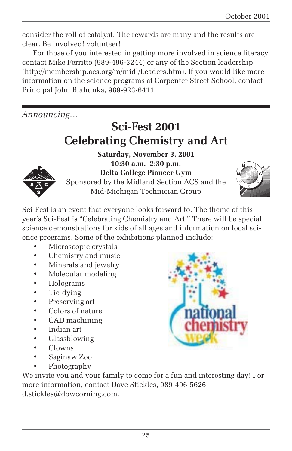consider the roll of catalyst. The rewards are many and the results are clear. Be involved! volunteer!

For those of you interested in getting more involved in science literacy contact Mike Ferritto (989-496-3244) or any of the Section leadership (http://membership.acs.org/m/midl/Leaders.htm). If you would like more information on the science programs at Carpenter Street School, contact Principal John Blahunka, 989-923-6411.

*Announcing…*

## **Sci-Fest 2001 Celebrating Chemistry and Art**



**Saturday, November 3, 2001 10:30 a.m.–2:30 p.m. Delta College Pioneer Gym** Sponsored by the Midland Section ACS and the Mid-Michigan Technician Group



Sci-Fest is an event that everyone looks forward to. The theme of this year's Sci-Fest is "Celebrating Chemistry and Art." There will be special science demonstrations for kids of all ages and information on local science programs. Some of the exhibitions planned include:

- Microscopic crystals
- Chemistry and music
- Minerals and jewelry
- Molecular modeling
- Holograms
- Tie-dying
- Preserving art
- Colors of nature
- CAD machining
- Indian art
- Glassblowing
- Clowns
- Saginaw Zoo
- Photography

We invite you and your family to come for a fun and interesting day! For more information, contact Dave Stickles, 989-496-5626, d.stickles@dowcorning.com.